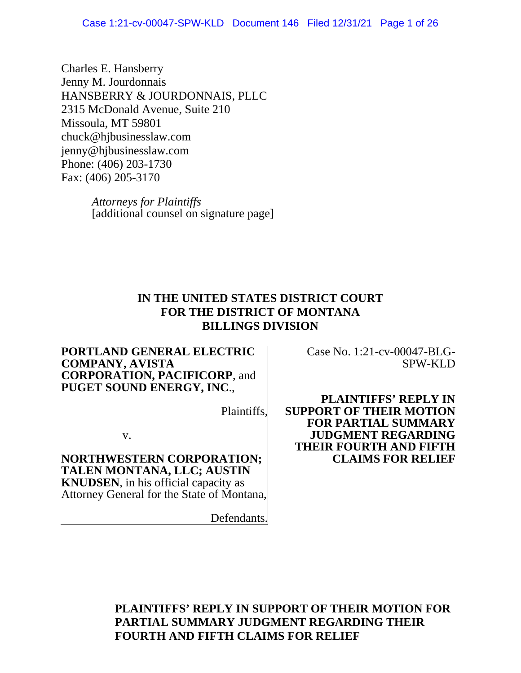Charles E. Hansberry Jenny M. Jourdonnais HANSBERRY & JOURDONNAIS, PLLC 2315 McDonald Avenue, Suite 210 Missoula, MT 59801 chuck@hjbusinesslaw.com jenny@hjbusinesslaw.com Phone: (406) 203-1730 Fax: (406) 205-3170

> *Attorneys for Plaintiffs* [additional counsel on signature page]

# **IN THE UNITED STATES DISTRICT COURT FOR THE DISTRICT OF MONTANA BILLINGS DIVISION**

#### **PORTLAND GENERAL ELECTRIC COMPANY, AVISTA CORPORATION, PACIFICORP**, and **PUGET SOUND ENERGY, INC**.,

Plaintiffs,

v.

**NORTHWESTERN CORPORATION; TALEN MONTANA, LLC; AUSTIN KNUDSEN**, in his official capacity as Attorney General for the State of Montana,

Defendants.

Case No. 1:21-cv-00047-BLG- SPW-KLD

**PLAINTIFFS' REPLY IN SUPPORT OF THEIR MOTION FOR PARTIAL SUMMARY JUDGMENT REGARDING THEIR FOURTH AND FIFTH CLAIMS FOR RELIEF**

**PLAINTIFFS' REPLY IN SUPPORT OF THEIR MOTION FOR PARTIAL SUMMARY JUDGMENT REGARDING THEIR FOURTH AND FIFTH CLAIMS FOR RELIEF**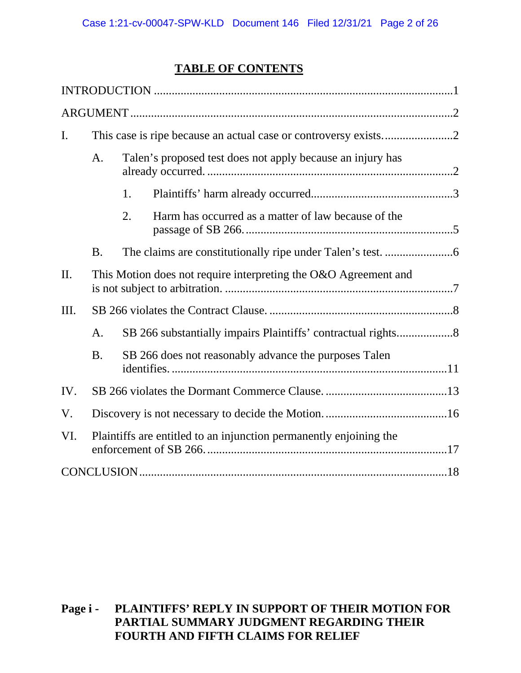# **TABLE OF CONTENTS**

| $\mathbf{I}$ . |                                                                    |                                                                 |                                                     |  |  |  |
|----------------|--------------------------------------------------------------------|-----------------------------------------------------------------|-----------------------------------------------------|--|--|--|
|                | A.                                                                 | Talen's proposed test does not apply because an injury has      |                                                     |  |  |  |
|                |                                                                    | 1.                                                              |                                                     |  |  |  |
|                |                                                                    | 2.                                                              | Harm has occurred as a matter of law because of the |  |  |  |
|                | <b>B.</b>                                                          |                                                                 |                                                     |  |  |  |
| II.            |                                                                    | This Motion does not require interpreting the O&O Agreement and |                                                     |  |  |  |
| Ш.             |                                                                    |                                                                 |                                                     |  |  |  |
|                | A.                                                                 |                                                                 |                                                     |  |  |  |
|                | <b>B.</b><br>SB 266 does not reasonably advance the purposes Talen |                                                                 |                                                     |  |  |  |
| IV.            |                                                                    |                                                                 |                                                     |  |  |  |
| V.             |                                                                    |                                                                 |                                                     |  |  |  |
| VI.            | Plaintiffs are entitled to an injunction permanently enjoining the |                                                                 |                                                     |  |  |  |
|                |                                                                    |                                                                 |                                                     |  |  |  |

## **Page i - PLAINTIFFS' REPLY IN SUPPORT OF THEIR MOTION FOR PARTIAL SUMMARY JUDGMENT REGARDING THEIR FOURTH AND FIFTH CLAIMS FOR RELIEF**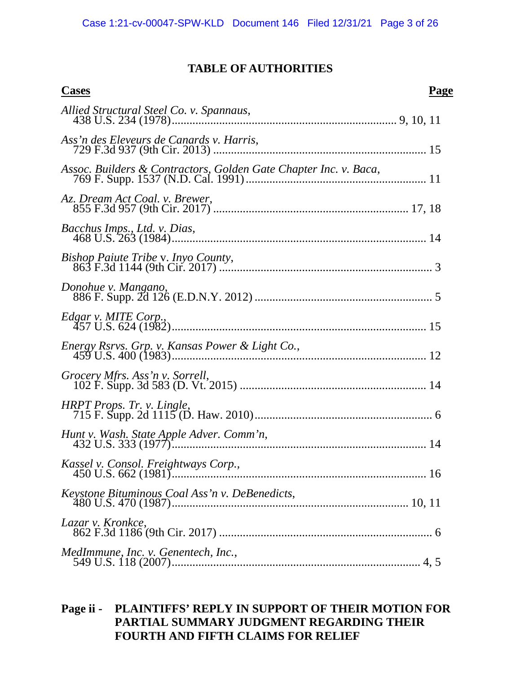## **TABLE OF AUTHORITIES**

| <b>Cases</b>                                                     | Page |
|------------------------------------------------------------------|------|
|                                                                  |      |
| Ass'n des Eleveurs de Canards v. Harris,                         |      |
| Assoc. Builders & Contractors, Golden Gate Chapter Inc. v. Baca, |      |
| Az. Dream Act Coal. v. Brewer,                                   |      |
| Bacchus Imps., Ltd. v. Dias,                                     |      |
| Bishop Paiute Tribe v. Inyo County,                              |      |
| Donohue v. Mangano,                                              |      |
| Edgar v. MITE Corp.,                                             |      |
| Energy Rsrvs. Grp. v. Kansas Power & Light Co.,                  |      |
|                                                                  |      |
| HRPT Props. Tr. v. Lingle,                                       |      |
|                                                                  |      |
| Kassel v. Consol. Freightways Corp.,                             |      |
| Keystone Bituminous Coal Ass'n v. DeBenedicts,                   |      |
| Lazar v. Kronkce,                                                |      |
| MedImmune, Inc. v. Genentech, Inc.,                              |      |
|                                                                  |      |

# **Page ii - PLAINTIFFS' REPLY IN SUPPORT OF THEIR MOTION FOR PARTIAL SUMMARY JUDGMENT REGARDING THEIR FOURTH AND FIFTH CLAIMS FOR RELIEF**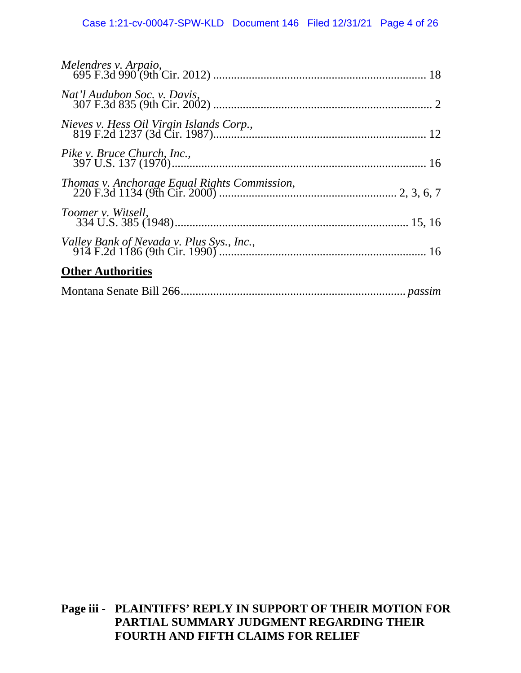| Toomer v. Witsell,       |  |
|--------------------------|--|
|                          |  |
| <b>Other Authorities</b> |  |
|                          |  |

## **Page iii - PLAINTIFFS' REPLY IN SUPPORT OF THEIR MOTION FOR PARTIAL SUMMARY JUDGMENT REGARDING THEIR FOURTH AND FIFTH CLAIMS FOR RELIEF**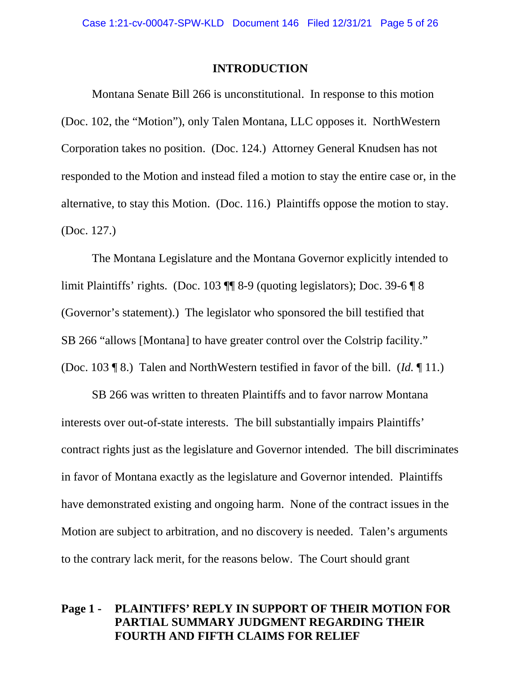#### **INTRODUCTION**

<span id="page-4-0"></span>Montana Senate Bill 266 is unconstitutional. In response to this motion (Doc. 102, the "Motion"), only Talen Montana, LLC opposes it. NorthWestern Corporation takes no position. (Doc. 124.) Attorney General Knudsen has not responded to the Motion and instead filed a motion to stay the entire case or, in the alternative, to stay this Motion. (Doc. 116.) Plaintiffs oppose the motion to stay. (Doc. 127.)

The Montana Legislature and the Montana Governor explicitly intended to limit Plaintiffs' rights. (Doc. 103 ¶¶ 8-9 (quoting legislators); Doc. 39-6 ¶ 8 (Governor's statement).) The legislator who sponsored the bill testified that SB 266 "allows [Montana] to have greater control over the Colstrip facility." (Doc. 103 ¶ 8.) Talen and NorthWestern testified in favor of the bill. (*Id.* ¶ 11.)

SB 266 was written to threaten Plaintiffs and to favor narrow Montana interests over out-of-state interests. The bill substantially impairs Plaintiffs' contract rights just as the legislature and Governor intended. The bill discriminates in favor of Montana exactly as the legislature and Governor intended. Plaintiffs have demonstrated existing and ongoing harm. None of the contract issues in the Motion are subject to arbitration, and no discovery is needed. Talen's arguments to the contrary lack merit, for the reasons below. The Court should grant

## **Page 1 - PLAINTIFFS' REPLY IN SUPPORT OF THEIR MOTION FOR PARTIAL SUMMARY JUDGMENT REGARDING THEIR FOURTH AND FIFTH CLAIMS FOR RELIEF**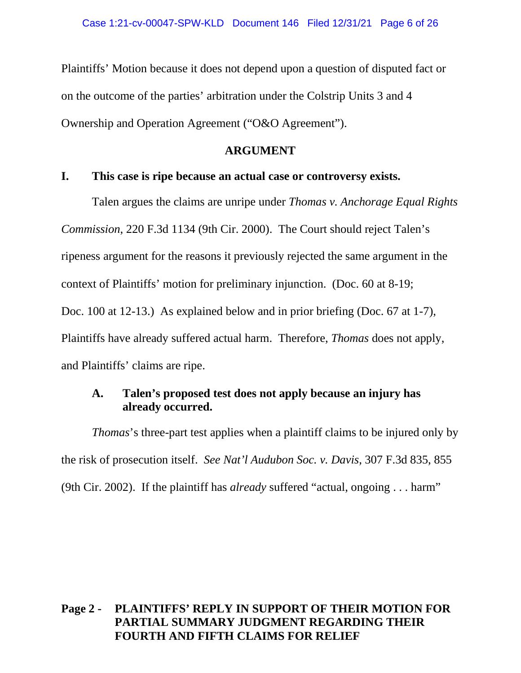Plaintiffs' Motion because it does not depend upon a question of disputed fact or on the outcome of the parties' arbitration under the Colstrip Units 3 and 4 Ownership and Operation Agreement ("O&O Agreement").

#### **ARGUMENT**

#### <span id="page-5-1"></span><span id="page-5-0"></span>**I. This case is ripe because an actual case or controversy exists.**

Talen argues the claims are unripe under *Thomas v. Anchorage Equal Rights Commission*, 220 F.3d 1134 (9th Cir. 2000). The Court should reject Talen's ripeness argument for the reasons it previously rejected the same argument in the context of Plaintiffs' motion for preliminary injunction. (Doc. 60 at 8-19; Doc. 100 at 12-13.) As explained below and in prior briefing (Doc. 67 at 1-7), Plaintiffs have already suffered actual harm. Therefore, *Thomas* does not apply, and Plaintiffs' claims are ripe.

## <span id="page-5-2"></span>**A. Talen's proposed test does not apply because an injury has already occurred.**

*Thomas*'s three-part test applies when a plaintiff claims to be injured only by the risk of prosecution itself. *See Nat'l Audubon Soc. v. Davis*, 307 F.3d 835, 855 (9th Cir. 2002). If the plaintiff has *already* suffered "actual, ongoing . . . harm"

## **Page 2 - PLAINTIFFS' REPLY IN SUPPORT OF THEIR MOTION FOR PARTIAL SUMMARY JUDGMENT REGARDING THEIR FOURTH AND FIFTH CLAIMS FOR RELIEF**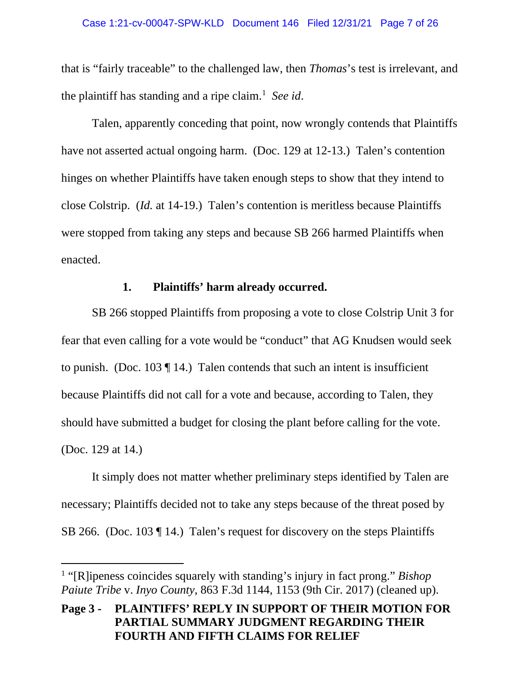that is "fairly traceable" to the challenged law, then *Thomas*'s test is irrelevant, and the plaintiff has standing and a ripe claim.<sup>[1](#page-6-1)</sup> See id.

Talen, apparently conceding that point, now wrongly contends that Plaintiffs have not asserted actual ongoing harm. (Doc. 129 at 12-13.) Talen's contention hinges on whether Plaintiffs have taken enough steps to show that they intend to close Colstrip. (*Id.* at 14-19.) Talen's contention is meritless because Plaintiffs were stopped from taking any steps and because SB 266 harmed Plaintiffs when enacted.

#### **1. Plaintiffs' harm already occurred.**

<span id="page-6-0"></span>SB 266 stopped Plaintiffs from proposing a vote to close Colstrip Unit 3 for fear that even calling for a vote would be "conduct" that AG Knudsen would seek to punish. (Doc. 103  $\P$  14.) Talen contends that such an intent is insufficient because Plaintiffs did not call for a vote and because, according to Talen, they should have submitted a budget for closing the plant before calling for the vote. (Doc. 129 at 14.)

It simply does not matter whether preliminary steps identified by Talen are necessary; Plaintiffs decided not to take any steps because of the threat posed by SB 266. (Doc. 103 ¶ 14.) Talen's request for discovery on the steps Plaintiffs

<span id="page-6-1"></span><sup>1</sup> "[R]ipeness coincides squarely with standing's injury in fact prong." *Bishop Paiute Tribe* v. *Inyo County*, 863 F.3d 1144, 1153 (9th Cir. 2017) (cleaned up).

**Page 3 - PLAINTIFFS' REPLY IN SUPPORT OF THEIR MOTION FOR PARTIAL SUMMARY JUDGMENT REGARDING THEIR FOURTH AND FIFTH CLAIMS FOR RELIEF**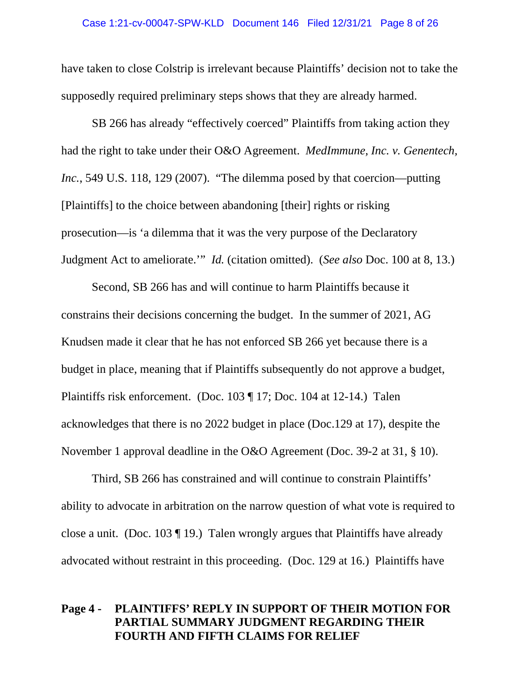have taken to close Colstrip is irrelevant because Plaintiffs' decision not to take the supposedly required preliminary steps shows that they are already harmed.

SB 266 has already "effectively coerced" Plaintiffs from taking action they had the right to take under their O&O Agreement. *MedImmune, Inc. v. Genentech, Inc.*, 549 U.S. 118, 129 (2007). "The dilemma posed by that coercion—putting [Plaintiffs] to the choice between abandoning [their] rights or risking prosecution—is 'a dilemma that it was the very purpose of the Declaratory Judgment Act to ameliorate.'" *Id.* (citation omitted). (*See also* Doc. 100 at 8, 13.)

Second, SB 266 has and will continue to harm Plaintiffs because it constrains their decisions concerning the budget. In the summer of 2021, AG Knudsen made it clear that he has not enforced SB 266 yet because there is a budget in place, meaning that if Plaintiffs subsequently do not approve a budget, Plaintiffs risk enforcement. (Doc. 103 ¶ 17; Doc. 104 at 12-14.) Talen acknowledges that there is no 2022 budget in place (Doc.129 at 17), despite the November 1 approval deadline in the O&O Agreement (Doc. 39-2 at 31, § 10).

Third, SB 266 has constrained and will continue to constrain Plaintiffs' ability to advocate in arbitration on the narrow question of what vote is required to close a unit. (Doc. 103 ¶ 19.) Talen wrongly argues that Plaintiffs have already advocated without restraint in this proceeding. (Doc. 129 at 16.) Plaintiffs have

## **Page 4 - PLAINTIFFS' REPLY IN SUPPORT OF THEIR MOTION FOR PARTIAL SUMMARY JUDGMENT REGARDING THEIR FOURTH AND FIFTH CLAIMS FOR RELIEF**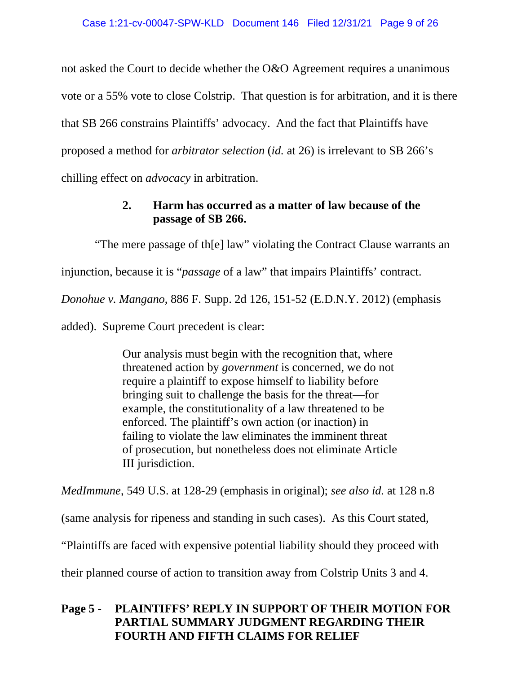not asked the Court to decide whether the O&O Agreement requires a unanimous vote or a 55% vote to close Colstrip. That question is for arbitration, and it is there that SB 266 constrains Plaintiffs' advocacy. And the fact that Plaintiffs have proposed a method for *arbitrator selection* (*id.* at 26) is irrelevant to SB 266's chilling effect on *advocacy* in arbitration.

## **2. Harm has occurred as a matter of law because of the passage of SB 266.**

<span id="page-8-0"></span>"The mere passage of th[e] law" violating the Contract Clause warrants an injunction, because it is "*passage* of a law" that impairs Plaintiffs' contract. *Donohue v. Mangano*, 886 F. Supp. 2d 126, 151-52 (E.D.N.Y. 2012) (emphasis added). Supreme Court precedent is clear:

> Our analysis must begin with the recognition that, where threatened action by *government* is concerned, we do not require a plaintiff to expose himself to liability before bringing suit to challenge the basis for the threat—for example, the constitutionality of a law threatened to be enforced. The plaintiff's own action (or inaction) in failing to violate the law eliminates the imminent threat of prosecution, but nonetheless does not eliminate Article III jurisdiction.

*MedImmune*, 549 U.S. at 128-29 (emphasis in original); *see also id.* at 128 n.8

(same analysis for ripeness and standing in such cases). As this Court stated,

"Plaintiffs are faced with expensive potential liability should they proceed with

their planned course of action to transition away from Colstrip Units 3 and 4.

## **Page 5 - PLAINTIFFS' REPLY IN SUPPORT OF THEIR MOTION FOR PARTIAL SUMMARY JUDGMENT REGARDING THEIR FOURTH AND FIFTH CLAIMS FOR RELIEF**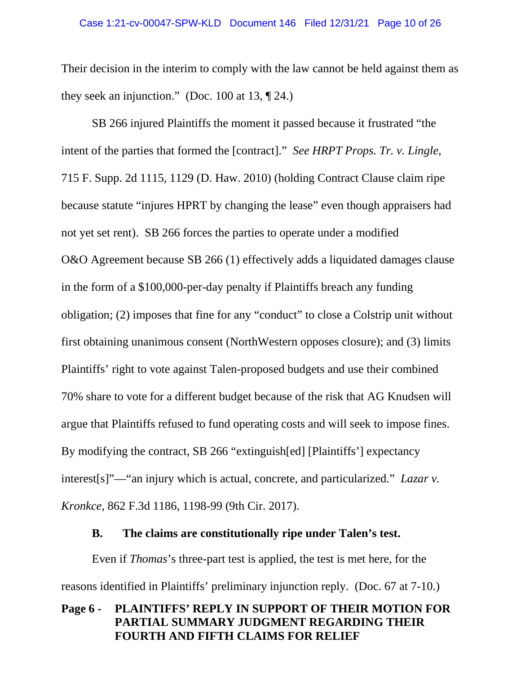Their decision in the interim to comply with the law cannot be held against them as they seek an injunction." (Doc. 100 at 13,  $\P$  24.)

SB 266 injured Plaintiffs the moment it passed because it frustrated "the intent of the parties that formed the [contract]." *See HRPT Props. Tr. v. Lingle*, 715 F. Supp. 2d 1115, 1129 (D. Haw. 2010) (holding Contract Clause claim ripe because statute "injures HPRT by changing the lease" even though appraisers had not yet set rent). SB 266 forces the parties to operate under a modified O&O Agreement because SB 266 (1) effectively adds a liquidated damages clause in the form of a \$100,000-per-day penalty if Plaintiffs breach any funding obligation; (2) imposes that fine for any "conduct" to close a Colstrip unit without first obtaining unanimous consent (NorthWestern opposes closure); and (3) limits Plaintiffs' right to vote against Talen-proposed budgets and use their combined 70% share to vote for a different budget because of the risk that AG Knudsen will argue that Plaintiffs refused to fund operating costs and will seek to impose fines. By modifying the contract, SB 266 "extinguish[ed] [Plaintiffs'] expectancy interest[s]"—"an injury which is actual, concrete, and particularized." *Lazar v. Kronkce*, 862 F.3d 1186, 1198-99 (9th Cir. 2017).

#### **B. The claims are constitutionally ripe under Talen's test.**

<span id="page-9-0"></span>Even if *Thomas*'s three-part test is applied, the test is met here, for the reasons identified in Plaintiffs' preliminary injunction reply. (Doc. 67 at 7-10.)

## **Page 6 - PLAINTIFFS' REPLY IN SUPPORT OF THEIR MOTION FOR PARTIAL SUMMARY JUDGMENT REGARDING THEIR FOURTH AND FIFTH CLAIMS FOR RELIEF**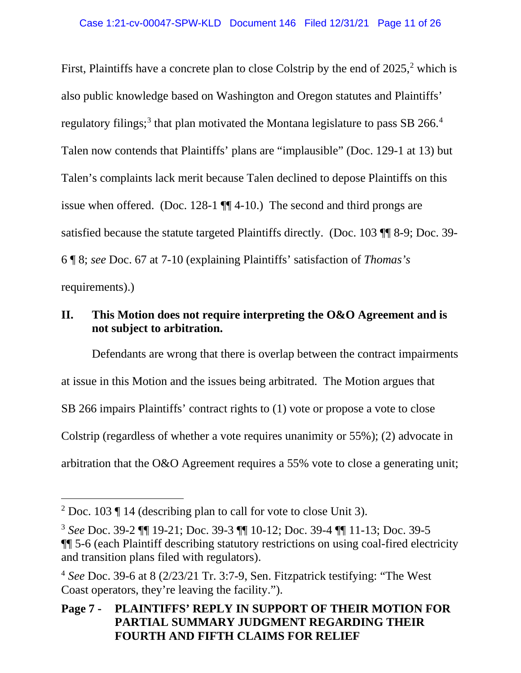First, Plaintiffs have a concrete plan to close Colstrip by the end of  $2025$  $2025$ , which is also public knowledge based on Washington and Oregon statutes and Plaintiffs' regulatory filings;<sup>[3](#page-10-2)</sup> that plan motivated the Montana legislature to pass SB 266.<sup>[4](#page-10-3)</sup> Talen now contends that Plaintiffs' plans are "implausible" (Doc. 129-1 at 13) but Talen's complaints lack merit because Talen declined to depose Plaintiffs on this issue when offered. (Doc. 128-1 ¶¶ 4-10.) The second and third prongs are satisfied because the statute targeted Plaintiffs directly. (Doc. 103 ¶¶ 8-9; Doc. 39- 6 ¶ 8; *see* Doc. 67 at 7-10 (explaining Plaintiffs' satisfaction of *Thomas's*  requirements).)

## <span id="page-10-0"></span>**II. This Motion does not require interpreting the O&O Agreement and is not subject to arbitration.**

Defendants are wrong that there is overlap between the contract impairments at issue in this Motion and the issues being arbitrated. The Motion argues that SB 266 impairs Plaintiffs' contract rights to (1) vote or propose a vote to close Colstrip (regardless of whether a vote requires unanimity or 55%); (2) advocate in arbitration that the O&O Agreement requires a 55% vote to close a generating unit;

<span id="page-10-1"></span><sup>&</sup>lt;sup>2</sup> Doc. 103  $\P$  14 (describing plan to call for vote to close Unit 3).

<span id="page-10-2"></span><sup>3</sup> *See* Doc. 39-2 ¶¶ 19-21; Doc. 39-3 ¶¶ 10-12; Doc. 39-4 ¶¶ 11-13; Doc. 39-5 ¶¶ 5-6 (each Plaintiff describing statutory restrictions on using coal-fired electricity and transition plans filed with regulators).

<span id="page-10-3"></span><sup>4</sup> *See* Doc. 39-6 at 8 (2/23/21 Tr. 3:7-9, Sen. Fitzpatrick testifying: "The West Coast operators, they're leaving the facility.").

**Page 7 - PLAINTIFFS' REPLY IN SUPPORT OF THEIR MOTION FOR PARTIAL SUMMARY JUDGMENT REGARDING THEIR FOURTH AND FIFTH CLAIMS FOR RELIEF**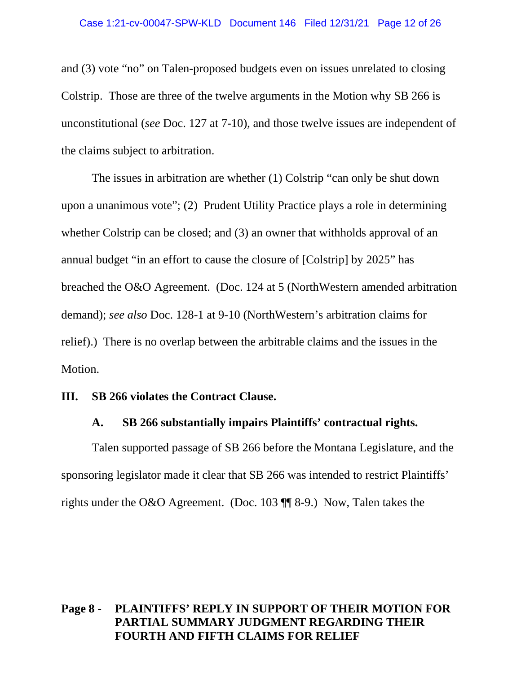and (3) vote "no" on Talen-proposed budgets even on issues unrelated to closing Colstrip. Those are three of the twelve arguments in the Motion why SB 266 is unconstitutional (*see* Doc. 127 at 7-10), and those twelve issues are independent of the claims subject to arbitration.

The issues in arbitration are whether (1) Colstrip "can only be shut down upon a unanimous vote"; (2) Prudent Utility Practice plays a role in determining whether Colstrip can be closed; and (3) an owner that withholds approval of an annual budget "in an effort to cause the closure of [Colstrip] by 2025" has breached the O&O Agreement. (Doc. 124 at 5 (NorthWestern amended arbitration demand); *see also* Doc. 128-1 at 9-10 (NorthWestern's arbitration claims for relief).) There is no overlap between the arbitrable claims and the issues in the Motion.

#### <span id="page-11-1"></span><span id="page-11-0"></span>**III. SB 266 violates the Contract Clause.**

#### **A. SB 266 substantially impairs Plaintiffs' contractual rights.**

Talen supported passage of SB 266 before the Montana Legislature, and the sponsoring legislator made it clear that SB 266 was intended to restrict Plaintiffs' rights under the O&O Agreement. (Doc. 103 ¶¶ 8-9.) Now, Talen takes the

## **Page 8 - PLAINTIFFS' REPLY IN SUPPORT OF THEIR MOTION FOR PARTIAL SUMMARY JUDGMENT REGARDING THEIR FOURTH AND FIFTH CLAIMS FOR RELIEF**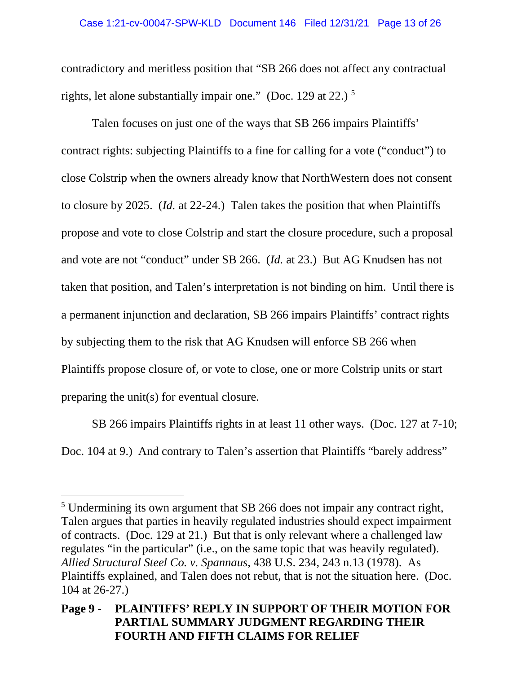#### Case 1:21-cv-00047-SPW-KLD Document 146 Filed 12/31/21 Page 13 of 26

contradictory and meritless position that "SB 266 does not affect any contractual rights, let alone substantially impair one." (Doc. 129 at 22.)  $<sup>5</sup>$  $<sup>5</sup>$  $<sup>5</sup>$ </sup>

Talen focuses on just one of the ways that SB 266 impairs Plaintiffs' contract rights: subjecting Plaintiffs to a fine for calling for a vote ("conduct") to close Colstrip when the owners already know that NorthWestern does not consent to closure by 2025. (*Id.* at 22-24.) Talen takes the position that when Plaintiffs propose and vote to close Colstrip and start the closure procedure, such a proposal and vote are not "conduct" under SB 266. (*Id.* at 23.) But AG Knudsen has not taken that position, and Talen's interpretation is not binding on him. Until there is a permanent injunction and declaration, SB 266 impairs Plaintiffs' contract rights by subjecting them to the risk that AG Knudsen will enforce SB 266 when Plaintiffs propose closure of, or vote to close, one or more Colstrip units or start preparing the unit(s) for eventual closure.

SB 266 impairs Plaintiffs rights in at least 11 other ways. (Doc. 127 at 7-10; Doc. 104 at 9.) And contrary to Talen's assertion that Plaintiffs "barely address"

<span id="page-12-0"></span><sup>5</sup> Undermining its own argument that SB 266 does not impair any contract right, Talen argues that parties in heavily regulated industries should expect impairment of contracts. (Doc. 129 at 21.) But that is only relevant where a challenged law regulates "in the particular" (i.e., on the same topic that was heavily regulated). *Allied Structural Steel Co. v. Spannaus*, 438 U.S. 234, 243 n.13 (1978). As Plaintiffs explained, and Talen does not rebut, that is not the situation here. (Doc. 104 at 26-27.)

**Page 9 - PLAINTIFFS' REPLY IN SUPPORT OF THEIR MOTION FOR PARTIAL SUMMARY JUDGMENT REGARDING THEIR FOURTH AND FIFTH CLAIMS FOR RELIEF**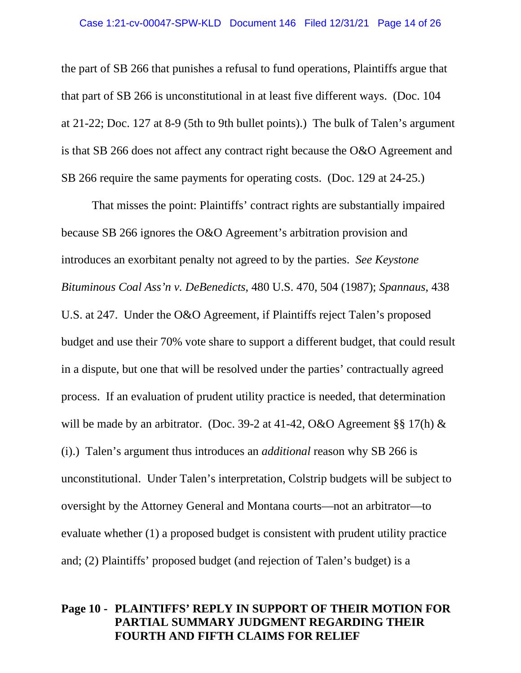#### Case 1:21-cv-00047-SPW-KLD Document 146 Filed 12/31/21 Page 14 of 26

the part of SB 266 that punishes a refusal to fund operations, Plaintiffs argue that that part of SB 266 is unconstitutional in at least five different ways. (Doc. 104 at 21-22; Doc. 127 at 8-9 (5th to 9th bullet points).) The bulk of Talen's argument is that SB 266 does not affect any contract right because the O&O Agreement and SB 266 require the same payments for operating costs. (Doc. 129 at 24-25.)

That misses the point: Plaintiffs' contract rights are substantially impaired because SB 266 ignores the O&O Agreement's arbitration provision and introduces an exorbitant penalty not agreed to by the parties. *See Keystone Bituminous Coal Ass'n v. DeBenedicts*, 480 U.S. 470, 504 (1987); *Spannaus*, 438 U.S. at 247. Under the O&O Agreement, if Plaintiffs reject Talen's proposed budget and use their 70% vote share to support a different budget, that could result in a dispute, but one that will be resolved under the parties' contractually agreed process. If an evaluation of prudent utility practice is needed, that determination will be made by an arbitrator. (Doc. 39-2 at 41-42, O&O Agreement §§ 17(h)  $\&$ (i).) Talen's argument thus introduces an *additional* reason why SB 266 is unconstitutional. Under Talen's interpretation, Colstrip budgets will be subject to oversight by the Attorney General and Montana courts—not an arbitrator—to evaluate whether (1) a proposed budget is consistent with prudent utility practice and; (2) Plaintiffs' proposed budget (and rejection of Talen's budget) is a

## **Page 10 - PLAINTIFFS' REPLY IN SUPPORT OF THEIR MOTION FOR PARTIAL SUMMARY JUDGMENT REGARDING THEIR FOURTH AND FIFTH CLAIMS FOR RELIEF**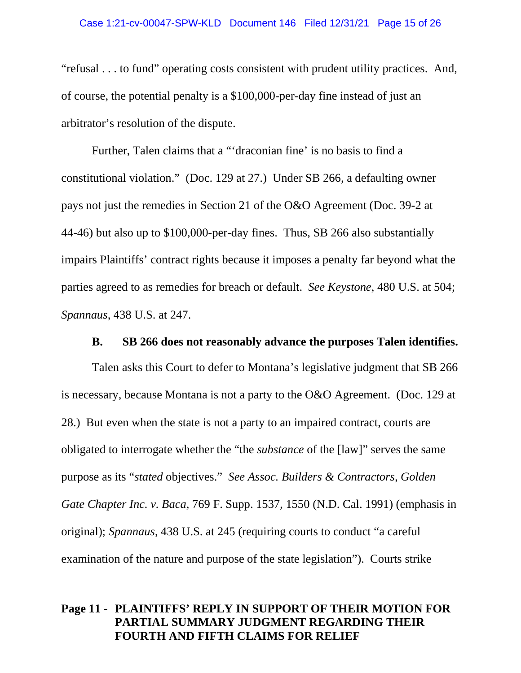#### Case 1:21-cv-00047-SPW-KLD Document 146 Filed 12/31/21 Page 15 of 26

"refusal . . . to fund" operating costs consistent with prudent utility practices. And, of course, the potential penalty is a \$100,000-per-day fine instead of just an arbitrator's resolution of the dispute.

Further, Talen claims that a "'draconian fine' is no basis to find a constitutional violation." (Doc. 129 at 27.) Under SB 266, a defaulting owner pays not just the remedies in Section 21 of the O&O Agreement (Doc. 39-2 at 44-46) but also up to \$100,000-per-day fines. Thus, SB 266 also substantially impairs Plaintiffs' contract rights because it imposes a penalty far beyond what the parties agreed to as remedies for breach or default. *See Keystone*, 480 U.S. at 504; *Spannaus*, 438 U.S. at 247.

#### **B. SB 266 does not reasonably advance the purposes Talen identifies.**

<span id="page-14-0"></span>Talen asks this Court to defer to Montana's legislative judgment that SB 266 is necessary, because Montana is not a party to the O&O Agreement. (Doc. 129 at 28.) But even when the state is not a party to an impaired contract, courts are obligated to interrogate whether the "the *substance* of the [law]" serves the same purpose as its "*stated* objectives." *See Assoc. Builders & Contractors, Golden Gate Chapter Inc. v. Baca*, 769 F. Supp. 1537, 1550 (N.D. Cal. 1991) (emphasis in original); *Spannaus*, 438 U.S. at 245 (requiring courts to conduct "a careful examination of the nature and purpose of the state legislation"). Courts strike

## **Page 11 - PLAINTIFFS' REPLY IN SUPPORT OF THEIR MOTION FOR PARTIAL SUMMARY JUDGMENT REGARDING THEIR FOURTH AND FIFTH CLAIMS FOR RELIEF**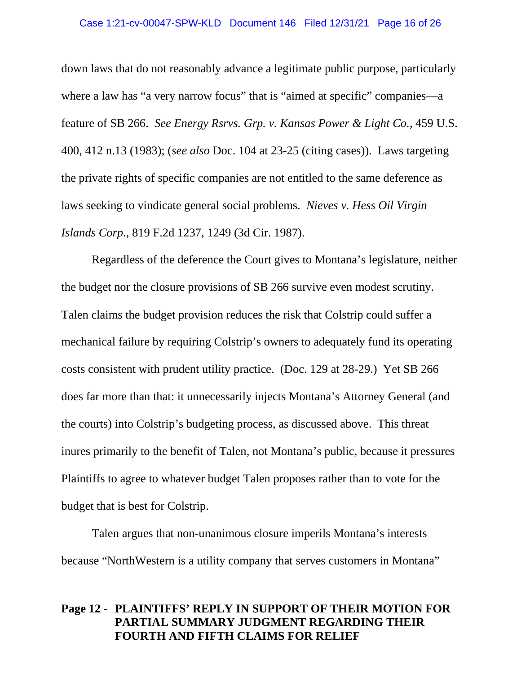#### Case 1:21-cv-00047-SPW-KLD Document 146 Filed 12/31/21 Page 16 of 26

down laws that do not reasonably advance a legitimate public purpose, particularly where a law has "a very narrow focus" that is "aimed at specific" companies—a feature of SB 266. *See Energy Rsrvs. Grp. v. Kansas Power & Light Co.*, 459 U.S. 400, 412 n.13 (1983); (*see also* Doc. 104 at 23-25 (citing cases)). Laws targeting the private rights of specific companies are not entitled to the same deference as laws seeking to vindicate general social problems. *Nieves v. Hess Oil Virgin Islands Corp.*, 819 F.2d 1237, 1249 (3d Cir. 1987).

Regardless of the deference the Court gives to Montana's legislature, neither the budget nor the closure provisions of SB 266 survive even modest scrutiny. Talen claims the budget provision reduces the risk that Colstrip could suffer a mechanical failure by requiring Colstrip's owners to adequately fund its operating costs consistent with prudent utility practice. (Doc. 129 at 28-29.) Yet SB 266 does far more than that: it unnecessarily injects Montana's Attorney General (and the courts) into Colstrip's budgeting process, as discussed above. This threat inures primarily to the benefit of Talen, not Montana's public, because it pressures Plaintiffs to agree to whatever budget Talen proposes rather than to vote for the budget that is best for Colstrip.

Talen argues that non-unanimous closure imperils Montana's interests because "NorthWestern is a utility company that serves customers in Montana"

## **Page 12 - PLAINTIFFS' REPLY IN SUPPORT OF THEIR MOTION FOR PARTIAL SUMMARY JUDGMENT REGARDING THEIR FOURTH AND FIFTH CLAIMS FOR RELIEF**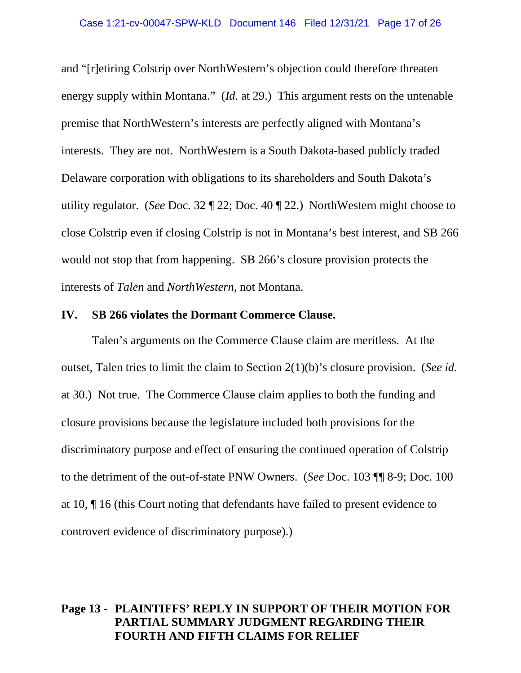and "[r]etiring Colstrip over NorthWestern's objection could therefore threaten energy supply within Montana." (*Id.* at 29.) This argument rests on the untenable premise that NorthWestern's interests are perfectly aligned with Montana's interests. They are not. NorthWestern is a South Dakota-based publicly traded Delaware corporation with obligations to its shareholders and South Dakota's utility regulator. (*See* Doc. 32 ¶ 22; Doc. 40 ¶ 22.) NorthWestern might choose to close Colstrip even if closing Colstrip is not in Montana's best interest, and SB 266 would not stop that from happening. SB 266's closure provision protects the interests of *Talen* and *NorthWestern*, not Montana.

#### <span id="page-16-0"></span>**IV. SB 266 violates the Dormant Commerce Clause.**

Talen's arguments on the Commerce Clause claim are meritless. At the outset, Talen tries to limit the claim to Section 2(1)(b)'s closure provision. (*See id.* at 30.) Not true. The Commerce Clause claim applies to both the funding and closure provisions because the legislature included both provisions for the discriminatory purpose and effect of ensuring the continued operation of Colstrip to the detriment of the out-of-state PNW Owners. (*See* Doc. 103 ¶¶ 8-9; Doc. 100 at 10, ¶ 16 (this Court noting that defendants have failed to present evidence to controvert evidence of discriminatory purpose).)

#### **Page 13 - PLAINTIFFS' REPLY IN SUPPORT OF THEIR MOTION FOR PARTIAL SUMMARY JUDGMENT REGARDING THEIR FOURTH AND FIFTH CLAIMS FOR RELIEF**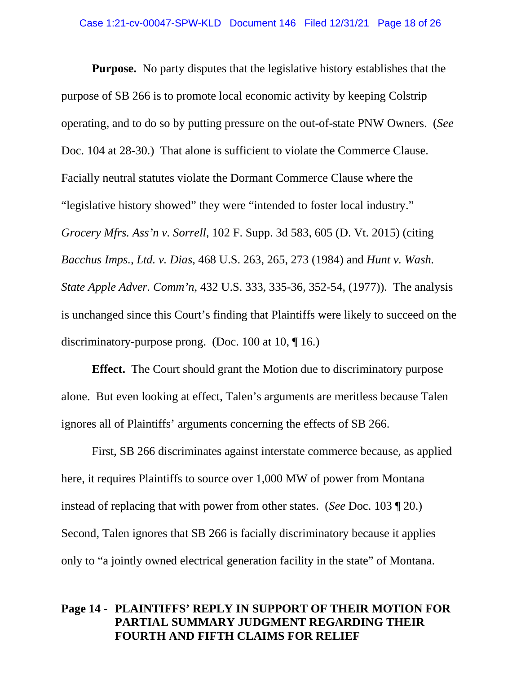**Purpose.** No party disputes that the legislative history establishes that the purpose of SB 266 is to promote local economic activity by keeping Colstrip operating, and to do so by putting pressure on the out-of-state PNW Owners. (*See*  Doc. 104 at 28-30.) That alone is sufficient to violate the Commerce Clause. Facially neutral statutes violate the Dormant Commerce Clause where the "legislative history showed" they were "intended to foster local industry." *Grocery Mfrs. Ass'n v. Sorrell*, 102 F. Supp. 3d 583, 605 (D. Vt. 2015) (citing *Bacchus Imps., Ltd. v. Dias*, 468 U.S. 263, 265, 273 (1984) and *Hunt v. Wash. State Apple Adver. Comm'n*, 432 U.S. 333, 335-36, 352-54, (1977)). The analysis is unchanged since this Court's finding that Plaintiffs were likely to succeed on the discriminatory-purpose prong. (Doc. 100 at 10, ¶ 16.)

**Effect.** The Court should grant the Motion due to discriminatory purpose alone. But even looking at effect, Talen's arguments are meritless because Talen ignores all of Plaintiffs' arguments concerning the effects of SB 266.

First, SB 266 discriminates against interstate commerce because, as applied here, it requires Plaintiffs to source over 1,000 MW of power from Montana instead of replacing that with power from other states. (*See* Doc. 103 ¶ 20.) Second, Talen ignores that SB 266 is facially discriminatory because it applies only to "a jointly owned electrical generation facility in the state" of Montana.

## **Page 14 - PLAINTIFFS' REPLY IN SUPPORT OF THEIR MOTION FOR PARTIAL SUMMARY JUDGMENT REGARDING THEIR FOURTH AND FIFTH CLAIMS FOR RELIEF**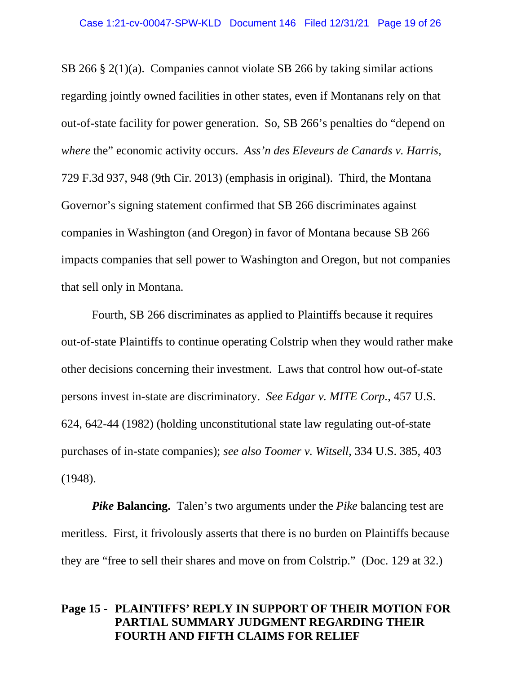SB 266 § 2(1)(a). Companies cannot violate SB 266 by taking similar actions regarding jointly owned facilities in other states, even if Montanans rely on that out-of-state facility for power generation. So, SB 266's penalties do "depend on *where* the" economic activity occurs. *Ass'n des Eleveurs de Canards v. Harris*, 729 F.3d 937, 948 (9th Cir. 2013) (emphasis in original). Third, the Montana Governor's signing statement confirmed that SB 266 discriminates against companies in Washington (and Oregon) in favor of Montana because SB 266 impacts companies that sell power to Washington and Oregon, but not companies that sell only in Montana.

Fourth, SB 266 discriminates as applied to Plaintiffs because it requires out-of-state Plaintiffs to continue operating Colstrip when they would rather make other decisions concerning their investment. Laws that control how out-of-state persons invest in-state are discriminatory. *See Edgar v. MITE Corp.*, 457 U.S. 624, 642-44 (1982) (holding unconstitutional state law regulating out-of-state purchases of in-state companies); *see also Toomer v. Witsell*, 334 U.S. 385, 403 (1948).

*Pike* **Balancing.** Talen's two arguments under the *Pike* balancing test are meritless. First, it frivolously asserts that there is no burden on Plaintiffs because they are "free to sell their shares and move on from Colstrip." (Doc. 129 at 32.)

## **Page 15 - PLAINTIFFS' REPLY IN SUPPORT OF THEIR MOTION FOR PARTIAL SUMMARY JUDGMENT REGARDING THEIR FOURTH AND FIFTH CLAIMS FOR RELIEF**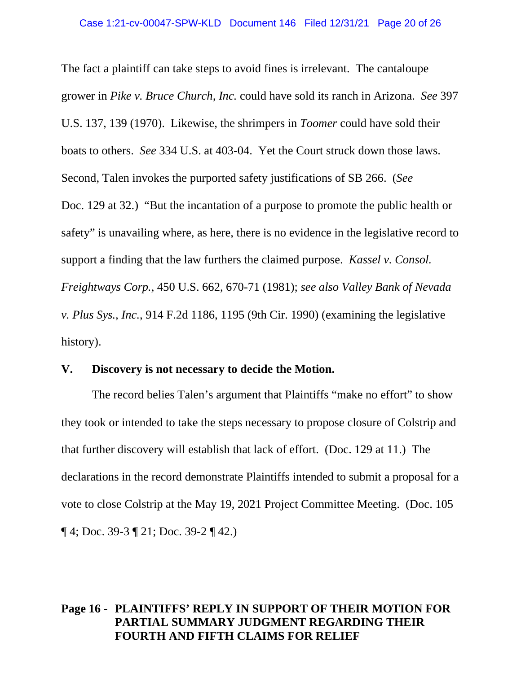The fact a plaintiff can take steps to avoid fines is irrelevant. The cantaloupe grower in *Pike v. Bruce Church, Inc.* could have sold its ranch in Arizona. *See* 397 U.S. 137, 139 (1970). Likewise, the shrimpers in *Toomer* could have sold their boats to others. *See* 334 U.S. at 403-04. Yet the Court struck down those laws. Second, Talen invokes the purported safety justifications of SB 266. (*See*  Doc. 129 at 32.) "But the incantation of a purpose to promote the public health or safety" is unavailing where, as here, there is no evidence in the legislative record to support a finding that the law furthers the claimed purpose. *Kassel v. Consol. Freightways Corp.,* 450 U.S. 662, 670-71 (1981); *see also Valley Bank of Nevada v. Plus Sys., Inc.*, 914 F.2d 1186, 1195 (9th Cir. 1990) (examining the legislative history).

#### <span id="page-19-0"></span>**V. Discovery is not necessary to decide the Motion.**

The record belies Talen's argument that Plaintiffs "make no effort" to show they took or intended to take the steps necessary to propose closure of Colstrip and that further discovery will establish that lack of effort. (Doc. 129 at 11.) The declarations in the record demonstrate Plaintiffs intended to submit a proposal for a vote to close Colstrip at the May 19, 2021 Project Committee Meeting. (Doc. 105  $\P$  4; Doc. 39-3  $\P$  21; Doc. 39-2  $\P$  42.)

## **Page 16 - PLAINTIFFS' REPLY IN SUPPORT OF THEIR MOTION FOR PARTIAL SUMMARY JUDGMENT REGARDING THEIR FOURTH AND FIFTH CLAIMS FOR RELIEF**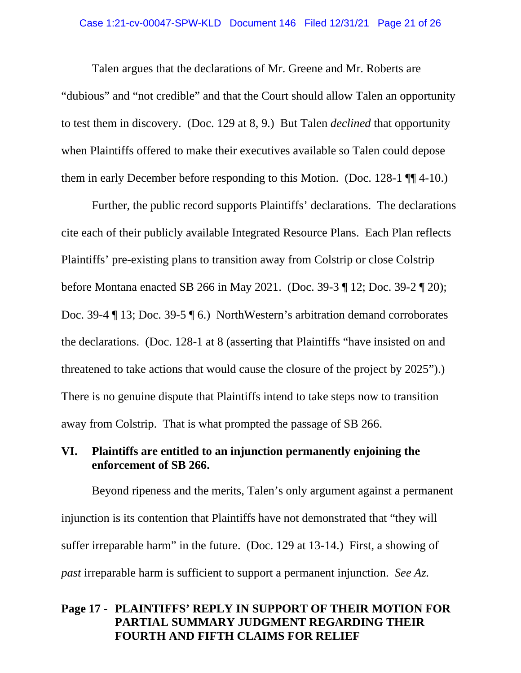#### Case 1:21-cv-00047-SPW-KLD Document 146 Filed 12/31/21 Page 21 of 26

Talen argues that the declarations of Mr. Greene and Mr. Roberts are "dubious" and "not credible" and that the Court should allow Talen an opportunity to test them in discovery. (Doc. 129 at 8, 9.) But Talen *declined* that opportunity when Plaintiffs offered to make their executives available so Talen could depose them in early December before responding to this Motion. (Doc. 128-1 ¶¶ 4-10.)

Further, the public record supports Plaintiffs' declarations. The declarations cite each of their publicly available Integrated Resource Plans. Each Plan reflects Plaintiffs' pre-existing plans to transition away from Colstrip or close Colstrip before Montana enacted SB 266 in May 2021. (Doc. 39-3 ¶ 12; Doc. 39-2 ¶ 20); Doc. 39-4 ¶ 13; Doc. 39-5 ¶ 6.) NorthWestern's arbitration demand corroborates the declarations. (Doc. 128-1 at 8 (asserting that Plaintiffs "have insisted on and threatened to take actions that would cause the closure of the project by 2025").) There is no genuine dispute that Plaintiffs intend to take steps now to transition away from Colstrip. That is what prompted the passage of SB 266.

## <span id="page-20-0"></span>**VI. Plaintiffs are entitled to an injunction permanently enjoining the enforcement of SB 266.**

Beyond ripeness and the merits, Talen's only argument against a permanent injunction is its contention that Plaintiffs have not demonstrated that "they will suffer irreparable harm" in the future. (Doc. 129 at 13-14.) First, a showing of *past* irreparable harm is sufficient to support a permanent injunction. *See Az.* 

## **Page 17 - PLAINTIFFS' REPLY IN SUPPORT OF THEIR MOTION FOR PARTIAL SUMMARY JUDGMENT REGARDING THEIR FOURTH AND FIFTH CLAIMS FOR RELIEF**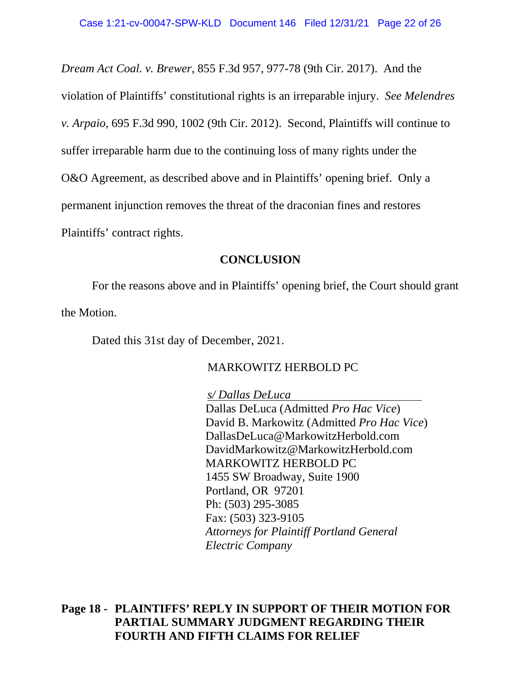*Dream Act Coal. v. Brewer*, 855 F.3d 957, 977-78 (9th Cir. 2017). And the violation of Plaintiffs' constitutional rights is an irreparable injury. *See Melendres v. Arpaio*, 695 F.3d 990, 1002 (9th Cir. 2012). Second, Plaintiffs will continue to suffer irreparable harm due to the continuing loss of many rights under the O&O Agreement, as described above and in Plaintiffs' opening brief. Only a permanent injunction removes the threat of the draconian fines and restores Plaintiffs' contract rights.

#### **CONCLUSION**

<span id="page-21-0"></span>For the reasons above and in Plaintiffs' opening brief, the Court should grant the Motion.

Dated this 31st day of December, 2021.

#### MARKOWITZ HERBOLD PC

*s/ Dallas DeLuca* Dallas DeLuca (Admitted *Pro Hac Vice*) David B. Markowitz (Admitted *Pro Hac Vice*) DallasDeLuca@MarkowitzHerbold.com DavidMarkowitz@MarkowitzHerbold.com MARKOWITZ HERBOLD PC 1455 SW Broadway, Suite 1900 Portland, OR 97201 Ph: (503) 295-3085 Fax: (503) 323-9105 *Attorneys for Plaintiff Portland General Electric Company*

**Page 18 - PLAINTIFFS' REPLY IN SUPPORT OF THEIR MOTION FOR PARTIAL SUMMARY JUDGMENT REGARDING THEIR FOURTH AND FIFTH CLAIMS FOR RELIEF**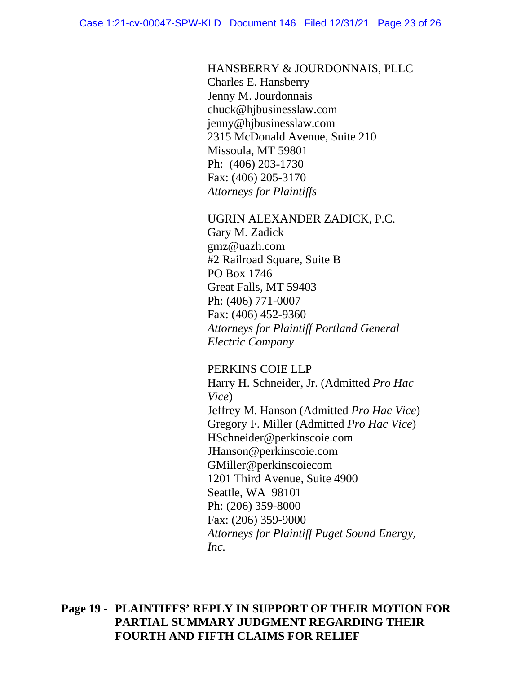HANSBERRY & JOURDONNAIS, PLLC

Charles E. Hansberry Jenny M. Jourdonnais chuck@hjbusinesslaw.com jenny@hjbusinesslaw.com 2315 McDonald Avenue, Suite 210 Missoula, MT 59801 Ph: (406) 203-1730 Fax: (406) 205-3170 *Attorneys for Plaintiffs*

UGRIN ALEXANDER ZADICK, P.C. Gary M. Zadick gmz@uazh.com #2 Railroad Square, Suite B PO Box 1746 Great Falls, MT 59403 Ph: (406) 771-0007 Fax: (406) 452-9360 *Attorneys for Plaintiff Portland General Electric Company*

PERKINS COIE LLP

Harry H. Schneider, Jr. (Admitted *Pro Hac Vice*) Jeffrey M. Hanson (Admitted *Pro Hac Vice*) Gregory F. Miller (Admitted *Pro Hac Vice*) HSchneider@perkinscoie.com JHanson@perkinscoie.com GMiller@perkinscoiecom 1201 Third Avenue, Suite 4900 Seattle, WA 98101 Ph: (206) 359-8000 Fax: (206) 359-9000 *Attorneys for Plaintiff Puget Sound Energy, Inc.*

**Page 19 - PLAINTIFFS' REPLY IN SUPPORT OF THEIR MOTION FOR PARTIAL SUMMARY JUDGMENT REGARDING THEIR FOURTH AND FIFTH CLAIMS FOR RELIEF**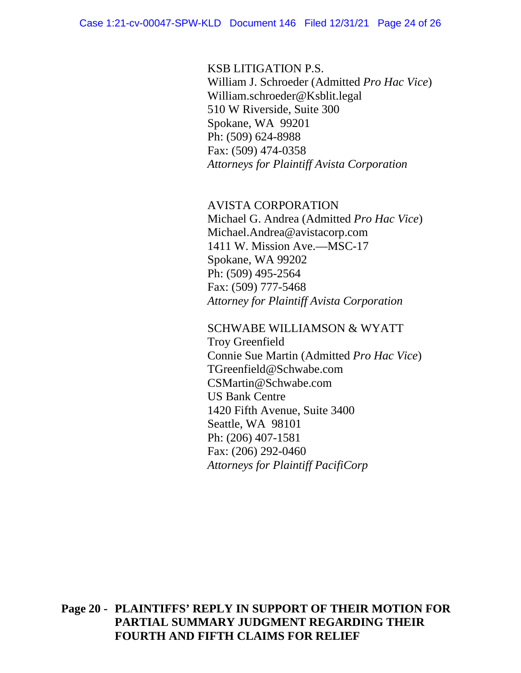#### KSB LITIGATION P.S.

William J. Schroeder (Admitted *Pro Hac Vice*) William.schroeder@Ksblit.legal 510 W Riverside, Suite 300 Spokane, WA 99201 Ph: (509) 624-8988 Fax: (509) 474-0358 *Attorneys for Plaintiff Avista Corporation*

#### AVISTA CORPORATION

Michael G. Andrea (Admitted *Pro Hac Vice*) Michael.Andrea@avistacorp.com 1411 W. Mission Ave.—MSC-17 Spokane, WA 99202 Ph: (509) 495-2564 Fax: (509) 777-5468 *Attorney for Plaintiff Avista Corporation*

#### SCHWABE WILLIAMSON & WYATT

Troy Greenfield Connie Sue Martin (Admitted *Pro Hac Vice*) TGreenfield@Schwabe.com CSMartin@Schwabe.com US Bank Centre 1420 Fifth Avenue, Suite 3400 Seattle, WA 98101 Ph: (206) 407-1581 Fax: (206) 292-0460 *Attorneys for Plaintiff PacifiCorp*

## **Page 20 - PLAINTIFFS' REPLY IN SUPPORT OF THEIR MOTION FOR PARTIAL SUMMARY JUDGMENT REGARDING THEIR FOURTH AND FIFTH CLAIMS FOR RELIEF**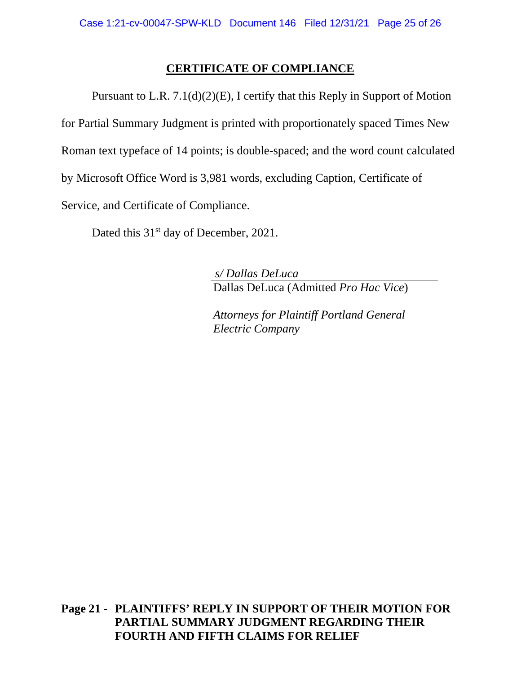## **CERTIFICATE OF COMPLIANCE**

Pursuant to L.R. 7.1(d)(2)(E), I certify that this Reply in Support of Motion for Partial Summary Judgment is printed with proportionately spaced Times New Roman text typeface of 14 points; is double-spaced; and the word count calculated by Microsoft Office Word is 3,981 words, excluding Caption, Certificate of Service, and Certificate of Compliance.

Dated this 31<sup>st</sup> day of December, 2021.

*s/ Dallas DeLuca* Dallas DeLuca (Admitted *Pro Hac Vice*)

*Attorneys for Plaintiff Portland General Electric Company*

**Page 21 - PLAINTIFFS' REPLY IN SUPPORT OF THEIR MOTION FOR PARTIAL SUMMARY JUDGMENT REGARDING THEIR FOURTH AND FIFTH CLAIMS FOR RELIEF**